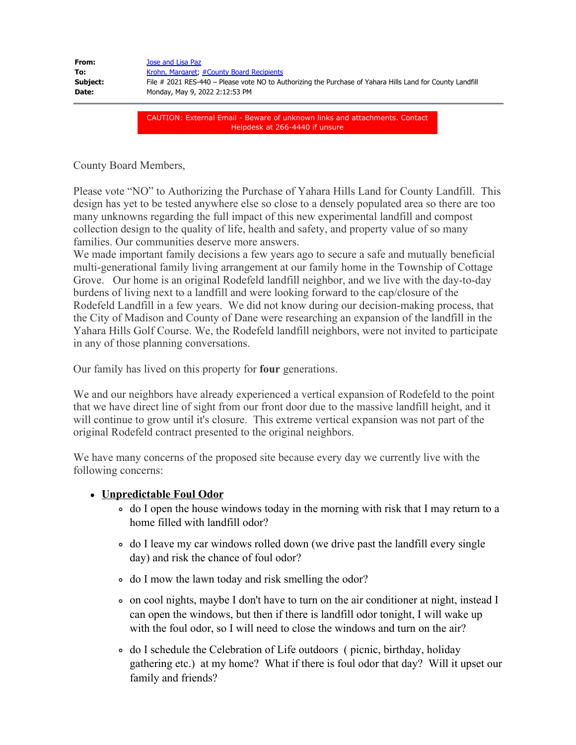| From:    | Jose and Lisa Paz                                                                                         |
|----------|-----------------------------------------------------------------------------------------------------------|
| To:      | Krohn, Margaret, #County Board Recipients                                                                 |
| Subject: | File # 2021 RES-440 – Please vote NO to Authorizing the Purchase of Yahara Hills Land for County Landfill |
| Date:    | Monday, May 9, 2022 2:12:53 PM                                                                            |
|          |                                                                                                           |

CAUTION: External Email - Beware of unknown links and attachments. Contact Helpdesk at 266-4440 if unsure

County Board Members,

Please vote "NO" to Authorizing the Purchase of Yahara Hills Land for County Landfill. This design has yet to be tested anywhere else so close to a densely populated area so there are too many unknowns regarding the full impact of this new experimental landfill and compost collection design to the quality of life, health and safety, and property value of so many families. Our communities deserve more answers.

We made important family decisions a few years ago to secure a safe and mutually beneficial multi-generational family living arrangement at our family home in the Township of Cottage Grove. Our home is an original Rodefeld landfill neighbor, and we live with the day-to-day burdens of living next to a landfill and were looking forward to the cap/closure of the Rodefeld Landfill in a few years. We did not know during our decision-making process, that the City of Madison and County of Dane were researching an expansion of the landfill in the Yahara Hills Golf Course. We, the Rodefeld landfill neighbors, were not invited to participate in any of those planning conversations.

Our family has lived on this property for **four** generations.

We and our neighbors have already experienced a vertical expansion of Rodefeld to the point that we have direct line of sight from our front door due to the massive landfill height, and it will continue to grow until it's closure. This extreme vertical expansion was not part of the original Rodefeld contract presented to the original neighbors.

We have many concerns of the proposed site because every day we currently live with the following concerns:

## **Unpredictable Foul Odor**

- do I open the house windows today in the morning with risk that I may return to a home filled with landfill odor?
- do I leave my car windows rolled down (we drive past the landfill every single day) and risk the chance of foul odor?
- do I mow the lawn today and risk smelling the odor?
- on cool nights, maybe I don't have to turn on the air conditioner at night, instead I can open the windows, but then if there is landfill odor tonight, I will wake up with the foul odor, so I will need to close the windows and turn on the air?
- do I schedule the Celebration of Life outdoors ( picnic, birthday, holiday gathering etc.) at my home? What if there is foul odor that day? Will it upset our family and friends?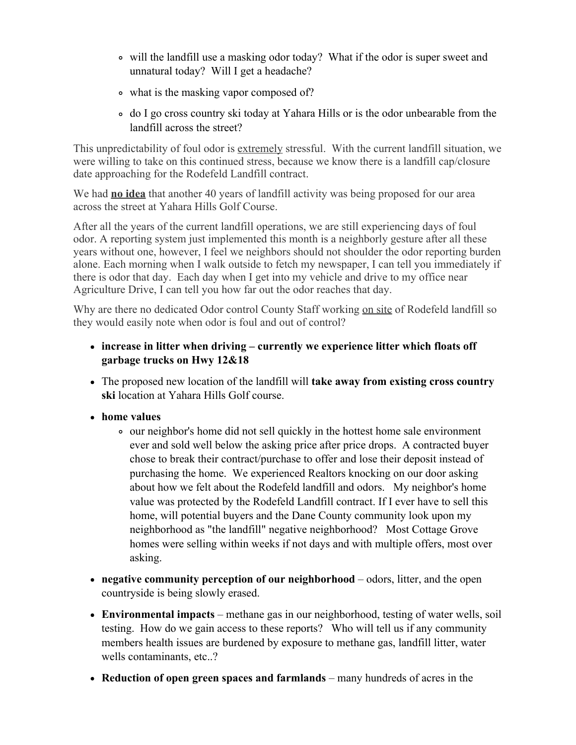- will the landfill use a masking odor today? What if the odor is super sweet and unnatural today? Will I get a headache?
- what is the masking vapor composed of?
- do I go cross country ski today at Yahara Hills or is the odor unbearable from the landfill across the street?

This unpredictability of foul odor is extremely stressful. With the current landfill situation, we were willing to take on this continued stress, because we know there is a landfill cap/closure date approaching for the Rodefeld Landfill contract.

We had **no idea** that another 40 years of landfill activity was being proposed for our area across the street at Yahara Hills Golf Course.

After all the years of the current landfill operations, we are still experiencing days of foul odor. A reporting system just implemented this month is a neighborly gesture after all these years without one, however, I feel we neighbors should not shoulder the odor reporting burden alone. Each morning when I walk outside to fetch my newspaper, I can tell you immediately if there is odor that day. Each day when I get into my vehicle and drive to my office near Agriculture Drive, I can tell you how far out the odor reaches that day.

Why are there no dedicated Odor control County Staff working on site of Rodefeld landfill so they would easily note when odor is foul and out of control?

## **increase in litter when driving – currently we experience litter which floats off garbage trucks on Hwy 12&18**

- The proposed new location of the landfill will **take away from existing cross country ski** location at Yahara Hills Golf course.
- **home values** 
	- our neighbor's home did not sell quickly in the hottest home sale environment ever and sold well below the asking price after price drops. A contracted buyer chose to break their contract/purchase to offer and lose their deposit instead of purchasing the home. We experienced Realtors knocking on our door asking about how we felt about the Rodefeld landfill and odors. My neighbor's home value was protected by the Rodefeld Landfill contract. If I ever have to sell this home, will potential buyers and the Dane County community look upon my neighborhood as "the landfill" negative neighborhood? Most Cottage Grove homes were selling within weeks if not days and with multiple offers, most over asking.
- **negative community perception of our neighborhood** odors, litter, and the open countryside is being slowly erased.
- **Environmental impacts** methane gas in our neighborhood, testing of water wells, soil testing. How do we gain access to these reports? Who will tell us if any community members health issues are burdened by exposure to methane gas, landfill litter, water wells contaminants, etc..?
- **Reduction of open green spaces and farmlands** many hundreds of acres in the